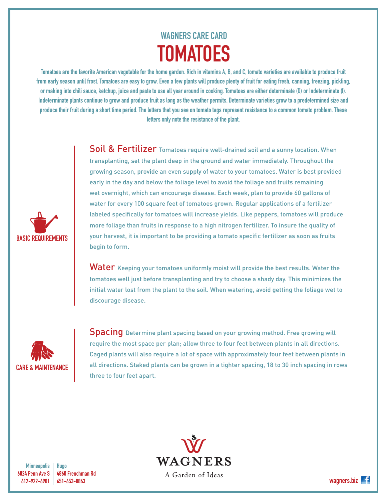## WAGNERS CARE CARD **TOMATOES**

Tomatoes are the favorite American vegetable for the home garden. Rich in vitamins A, B, and C, tomato varieties are available to produce fruit from early season until frost. Tomatoes are easy to grow. Even a few plants will produce plenty of fruit for eating fresh, canning, freezing, pickling, or making into chili sauce, ketchup, juice and paste to use all year around in cooking. Tomatoes are either determinate (D) or Indeterminate (I). Indeterminate plants continue to grow and produce fruit as long as the weather permits. Determinate varieties grow to a predetermined size and produce their fruit during a short time period. The letters that you see on tomato tags represent resistance to a common tomato problem. These letters only note the resistance of the plant.

> Soil & Fertilizer Tomatoes require well-drained soil and a sunny location. When transplanting, set the plant deep in the ground and water immediately. Throughout the growing season, provide an even supply of water to your tomatoes. Water is best provided early in the day and below the foliage level to avoid the foliage and fruits remaining wet overnight, which can encourage disease. Each week, plan to provide 60 gallons of water for every 100 square feet of tomatoes grown. Regular applications of a fertilizer labeled specifically for tomatoes will increase yields. Like peppers, tomatoes will produce more foliage than fruits in response to a high nitrogen fertilizer. To insure the quality of your harvest, it is important to be providing a tomato specific fertilizer as soon as fruits begin to form.

> Water Keeping your tomatoes uniformly moist will provide the best results. Water the tomatoes well just before transplanting and try to choose a shady day. This minimizes the initial water lost from the plant to the soil. When watering, avoid getting the foliage wet to discourage disease.



BASIC REQUIREMENTS

**Spacing** Determine plant spacing based on your growing method. Free growing will require the most space per plan; allow three to four feet between plants in all directions. Caged plants will also require a lot of space with approximately four feet between plants in all directions. Staked plants can be grown in a tighter spacing, 18 to 30 inch spacing in rows three to four feet apart.

**Minneapolis** 6024 Penn Ave S 612-922-6901

Hugo 4860 Frenchman Rd 651-653-8863